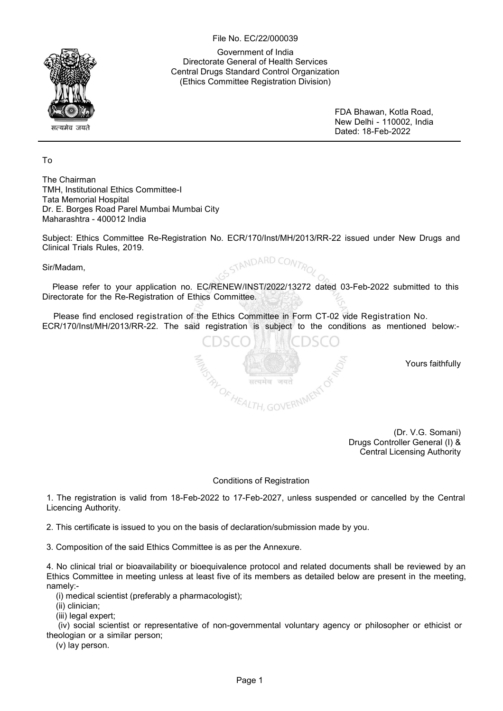File No. EC/22/000039

Government of India Directorate General of Health Services Central Drugs Standard Control Organization (Ethics Committee Registration Division)

> FDA Bhawan, Kotla Road, New Delhi - 110002, India Dated: 18-Feb-2022

To

The Chairman TMH, Institutional Ethics Committee-I Tata Memorial Hospital Dr. E. Borges Road Parel Mumbai Mumbai City Maharashtra - 400012 India

Subject: Ethics Committee Re-Registration No. ECR/170/Inst/MH/2013/RR-22 issued under New Drugs and Clinical Trials Rules, 2019.

ANDARD CONTR

Sir/Madam,

Please refer to your application no. EC/RENEW/INST/2022/13272 dated 03-Feb-2022 submitted to this Directorate for the Re-Registration of Ethics Committee.

Please find enclosed registration of the Ethics Committee in Form CT-02 vide Registration No. ECR/170/Inst/MH/2013/RR-22. The said registration is subject to the conditions as mentioned below:-

 $\frac{\partial \mathcal{L}}{\partial \mathcal{L}}_{H \text{EALTH, GOVERN}}$ 

यमेव

Yours faithfully

(Dr. V.G. Somani) Drugs Controller General (I) & Central Licensing Authority

Conditions of Registration

1. The registration is valid from 18-Feb-2022 to 17-Feb-2027, unless suspended or cancelled by the Central Licencing Authority.

2. This certificate is issued to you on the basis of declaration/submission made by you.

3. Composition of the said Ethics Committee is as per the Annexure.

4. No clinical trial or bioavailability or bioequivalence protocol and related documents shall be reviewed by an Ethics Committee in meeting unless at least five of its members as detailed below are present in the meeting, namely:-

(i) medical scientist (preferably a pharmacologist);

(ii) clinician;

(iii) legal expert;

(iv) social scientist or representative of non-governmental voluntary agency or philosopher or ethicist or theologian or a similar person;

(v) lay person.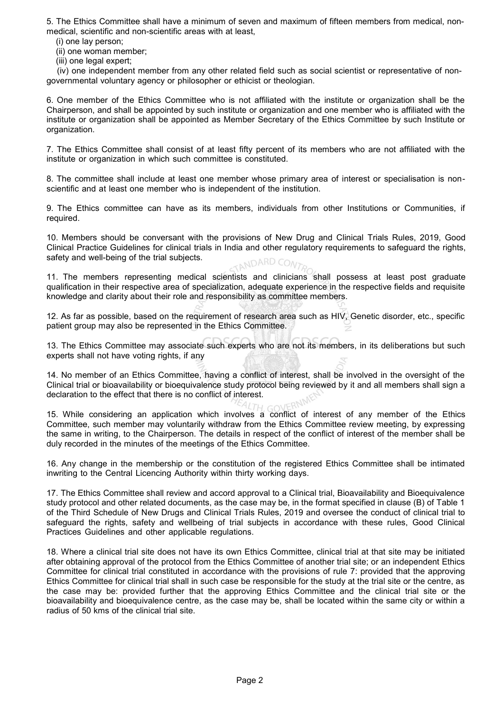5. The Ethics Committee shall have a minimum of seven and maximum of fifteen members from medical, nonmedical, scientific and non-scientific areas with at least,

(i) one lay person;

(ii) one woman member;

(iii) one legal expert;

(iv) one independent member from any other related field such as social scientist or representative of nongovernmental voluntary agency or philosopher or ethicist or theologian.

6. One member of the Ethics Committee who is not affiliated with the institute or organization shall be the Chairperson, and shall be appointed by such institute or organization and one member who is affiliated with the institute or organization shall be appointed as Member Secretary of the Ethics Committee by such Institute or organization.

7. The Ethics Committee shall consist of at least fifty percent of its members who are not affiliated with the institute or organization in which such committee is constituted.

8. The committee shall include at least one member whose primary area of interest or specialisation is nonscientific and at least one member who is independent of the institution.

9. The Ethics committee can have as its members, individuals from other Institutions or Communities, if required.

10. Members should be conversant with the provisions of New Drug and Clinical Trials Rules, 2019, Good Clinical Practice Guidelines for clinical trials in India and other regulatory requirements to safeguard the rights, safety and well-being of the trial subjects. TANDARD CONTR

11. The members representing medical scientists and clinicians shall possess at least post graduate qualification in their respective area of specialization, adequate experience in the respective fields and requisite knowledge and clarity about their role and responsibility as committee members.

12. As far as possible, based on the requirement of research area such as HIV, Genetic disorder, etc., specific patient group may also be represented in the Ethics Committee.

13. The Ethics Committee may associate such experts who are not its members, in its deliberations but such experts shall not have voting rights, if any

14. No member of an Ethics Committee, having a conflict of interest, shall be involved in the oversight of the Clinical trial or bioavailability or bioequivalence study protocol being reviewed by it and all members shall sign a declaration to the effect that there is no conflict of interest.

15. While considering an application which involves a conflict of interest of any member of the Ethics Committee, such member may voluntarily withdraw from the Ethics Committee review meeting, by expressing the same in writing, to the Chairperson. The details in respect of the conflict of interest of the member shall be duly recorded in the minutes of the meetings of the Ethics Committee.

16. Any change in the membership or the constitution of the registered Ethics Committee shall be intimated inwriting to the Central Licencing Authority within thirty working days.

17. The Ethics Committee shall review and accord approval to a Clinical trial, Bioavailability and Bioequivalence study protocol and other related documents, as the case may be, in the format specified in clause (B) of Table 1 of the Third Schedule of New Drugs and Clinical Trials Rules, 2019 and oversee the conduct of clinical trial to safeguard the rights, safety and wellbeing of trial subjects in accordance with these rules, Good Clinical Practices Guidelines and other applicable regulations.

18. Where a clinical trial site does not have its own Ethics Committee, clinical trial at that site may be initiated after obtaining approval of the protocol from the Ethics Committee of another trial site; or an independent Ethics Committee for clinical trial constituted in accordance with the provisions of rule 7: provided that the approving Ethics Committee for clinical trial shall in such case be responsible for the study at the trial site or the centre, as the case may be: provided further that the approving Ethics Committee and the clinical trial site or the bioavailability and bioequivalence centre, as the case may be, shall be located within the same city or within a radius of 50 kms of the clinical trial site.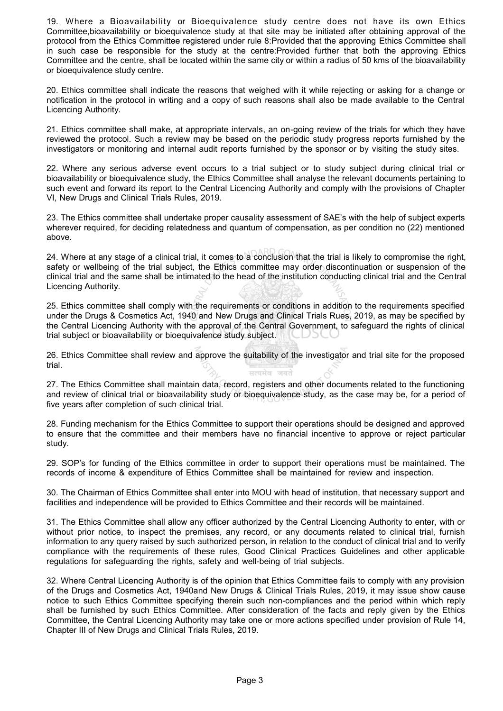19. Where a Bioavailability or Bioequivalence study centre does not have its own Ethics Committee,bioavailability or bioequivalence study at that site may be initiated after obtaining approval of the protocol from the Ethics Committee registered under rule 8:Provided that the approving Ethics Committee shall in such case be responsible for the study at the centre:Provided further that both the approving Ethics Committee and the centre, shall be located within the same city or within a radius of 50 kms of the bioavailability or bioequivalence study centre.

20. Ethics committee shall indicate the reasons that weighed with it while rejecting or asking for a change or notification in the protocol in writing and a copy of such reasons shall also be made available to the Central Licencing Authority.

21. Ethics committee shall make, at appropriate intervals, an on-going review of the trials for which they have reviewed the protocol. Such a review may be based on the periodic study progress reports furnished by the investigators or monitoring and internal audit reports furnished by the sponsor or by visiting the study sites.

22. Where any serious adverse event occurs to a trial subject or to study subject during clinical trial or bioavailability or bioequivalence study, the Ethics Committee shall analyse the relevant documents pertaining to such event and forward its report to the Central Licencing Authority and comply with the provisions of Chapter VI, New Drugs and Clinical Trials Rules, 2019.

23. The Ethics committee shall undertake proper causality assessment of SAE's with the help of subject experts wherever required, for deciding relatedness and quantum of compensation, as per condition no (22) mentioned above.

24. Where at any stage of a clinical trial, it comes to a conclusion that the trial is likely to compromise the right, safety or wellbeing of the trial subject, the Ethics committee may order discontinuation or suspension of the clinical trial and the same shall be intimated to the head of the institution conducting clinical trial and the Central Licencing Authority.

25. Ethics committee shall comply with the requirements or conditions in addition to the requirements specified under the Drugs & Cosmetics Act, 1940 and New Drugs and Clinical Trials Rues, 2019, as may be specified by the Central Licencing Authority with the approval of the Central Government, to safeguard the rights of clinical trial subject or bioavailability or bioequivalence study subject.

26. Ethics Committee shall review and approve the suitability of the investigator and trial site for the proposed trial. सत्यमेव

27. The Ethics Committee shall maintain data, record, registers and other documents related to the functioning and review of clinical trial or bioavailability study or bioequivalence study, as the case may be, for a period of five years after completion of such clinical trial.

28. Funding mechanism for the Ethics Committee to support their operations should be designed and approved to ensure that the committee and their members have no financial incentive to approve or reject particular study.

29. SOP's for funding of the Ethics committee in order to support their operations must be maintained. The records of income & expenditure of Ethics Committee shall be maintained for review and inspection.

30. The Chairman of Ethics Committee shall enter into MOU with head of institution, that necessary support and facilities and independence will be provided to Ethics Committee and their records will be maintained.

31. The Ethics Committee shall allow any officer authorized by the Central Licencing Authority to enter, with or without prior notice, to inspect the premises, any record, or any documents related to clinical trial, furnish information to any query raised by such authorized person, in relation to the conduct of clinical trial and to verify compliance with the requirements of these rules, Good Clinical Practices Guidelines and other applicable regulations for safeguarding the rights, safety and well-being of trial subjects.

32. Where Central Licencing Authority is of the opinion that Ethics Committee fails to comply with any provision of the Drugs and Cosmetics Act, 1940and New Drugs & Clinical Trials Rules, 2019, it may issue show cause notice to such Ethics Committee specifying therein such non-compliances and the period within which reply shall be furnished by such Ethics Committee. After consideration of the facts and reply given by the Ethics Committee, the Central Licencing Authority may take one or more actions specified under provision of Rule 14, Chapter III of New Drugs and Clinical Trials Rules, 2019.